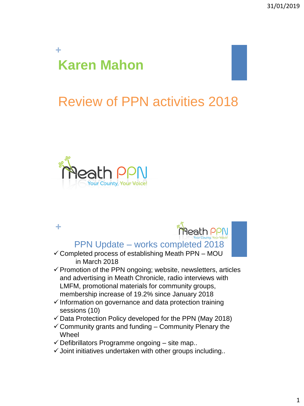## **+ Karen Mahon**

# Review of PPN activities 2018



**+**



PPN Update – works completed 2018

- $\checkmark$  Completed process of establishing Meath PPN MOU in March 2018
- $\checkmark$  Promotion of the PPN ongoing; website, newsletters, articles and advertising in Meath Chronicle, radio interviews with LMFM, promotional materials for community groups, membership increase of 19.2% since January 2018
- $\checkmark$  Information on governance and data protection training sessions (10)
- $\checkmark$  Data Protection Policy developed for the PPN (May 2018)
- $\checkmark$  Community grants and funding Community Plenary the Wheel
- $\checkmark$  Defibrillators Programme ongoing site map..
- $\checkmark$  Joint initiatives undertaken with other groups including..